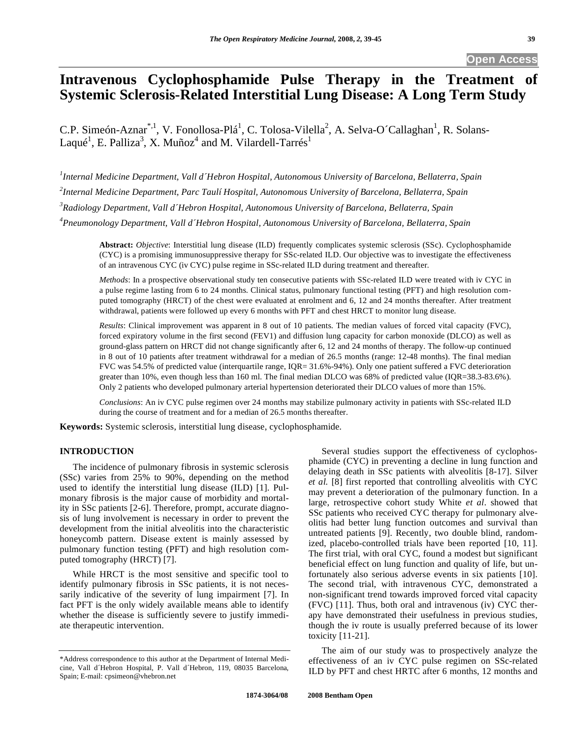# **Intravenous Cyclophosphamide Pulse Therapy in the Treatment of Systemic Sclerosis-Related Interstitial Lung Disease: A Long Term Study**

C.P. Simeón-Aznar<sup>\*,1</sup>, V. Fonollosa-Plá<sup>1</sup>, C. Tolosa-Vilella<sup>2</sup>, A. Selva-O´Callaghan<sup>1</sup>, R. Solans-Laqué<sup>1</sup>, E. Palliza<sup>3</sup>, X. Muñoz<sup>4</sup> and M. Vilardell-Tarrés<sup>1</sup>

 *Internal Medicine Department, Vall d´Hebron Hospital, Autonomous University of Barcelona, Bellaterra, Spain Internal Medicine Department, Parc Taulí Hospital, Autonomous University of Barcelona, Bellaterra, Spain Radiology Department, Vall d´Hebron Hospital, Autonomous University of Barcelona, Bellaterra, Spain Pneumonology Department, Vall d´Hebron Hospital, Autonomous University of Barcelona, Bellaterra, Spain* 

**Abstract:** *Objective*: Interstitial lung disease (ILD) frequently complicates systemic sclerosis (SSc). Cyclophosphamide (CYC) is a promising immunosuppressive therapy for SSc-related ILD. Our objective was to investigate the effectiveness of an intravenous CYC (iv CYC) pulse regime in SSc-related ILD during treatment and thereafter.

*Methods*: In a prospective observational study ten consecutive patients with SSc-related ILD were treated with iv CYC in a pulse regime lasting from 6 to 24 months. Clinical status, pulmonary functional testing (PFT) and high resolution computed tomography (HRCT) of the chest were evaluated at enrolment and 6, 12 and 24 months thereafter. After treatment withdrawal, patients were followed up every 6 months with PFT and chest HRCT to monitor lung disease.

*Results*: Clinical improvement was apparent in 8 out of 10 patients. The median values of forced vital capacity (FVC), forced expiratory volume in the first second (FEV1) and diffusion lung capacity for carbon monoxide (DLCO) as well as ground-glass pattern on HRCT did not change significantly after 6, 12 and 24 months of therapy. The follow-up continued in 8 out of 10 patients after treatment withdrawal for a median of 26.5 months (range: 12-48 months). The final median FVC was 54.5% of predicted value (interquartile range, IQR= 31.6%-94%). Only one patient suffered a FVC deterioration greater than 10%, even though less than 160 ml. The final median DLCO was 68% of predicted value (IQR=38.3-83.6%). Only 2 patients who developed pulmonary arterial hypertension deteriorated their DLCO values of more than 15%.

*Conclusions*: An iv CYC pulse regimen over 24 months may stabilize pulmonary activity in patients with SSc-related ILD during the course of treatment and for a median of 26.5 months thereafter.

**Keywords:** Systemic sclerosis, interstitial lung disease, cyclophosphamide.

# **INTRODUCTION**

 The incidence of pulmonary fibrosis in systemic sclerosis (SSc) varies from 25% to 90%, depending on the method used to identify the interstitial lung disease (ILD) [1]. Pulmonary fibrosis is the major cause of morbidity and mortality in SSc patients [2-6]. Therefore, prompt, accurate diagnosis of lung involvement is necessary in order to prevent the development from the initial alveolitis into the characteristic honeycomb pattern. Disease extent is mainly assessed by pulmonary function testing (PFT) and high resolution computed tomography (HRCT) [7].

 While HRCT is the most sensitive and specific tool to identify pulmonary fibrosis in SSc patients, it is not necessarily indicative of the severity of lung impairment [7]. In fact PFT is the only widely available means able to identify whether the disease is sufficiently severe to justify immediate therapeutic intervention.

 Several studies support the effectiveness of cyclophosphamide (CYC) in preventing a decline in lung function and delaying death in SSc patients with alveolitis [8-17]. Silver *et al.* [8] first reported that controlling alveolitis with CYC may prevent a deterioration of the pulmonary function. In a large, retrospective cohort study White *et al*. showed that SSc patients who received CYC therapy for pulmonary alveolitis had better lung function outcomes and survival than untreated patients [9]. Recently, two double blind, randomized, placebo-controlled trials have been reported [10, 11]. The first trial, with oral CYC, found a modest but significant beneficial effect on lung function and quality of life, but unfortunately also serious adverse events in six patients [10]. The second trial, with intravenous CYC, demonstrated a non-significant trend towards improved forced vital capacity (FVC) [11]. Thus, both oral and intravenous (iv) CYC therapy have demonstrated their usefulness in previous studies, though the iv route is usually preferred because of its lower toxicity [11-21].

 The aim of our study was to prospectively analyze the effectiveness of an iv CYC pulse regimen on SSc-related ILD by PFT and chest HRTC after 6 months, 12 months and

<sup>\*</sup>Address correspondence to this author at the Department of Internal Medicine, Vall d´Hebron Hospital, P. Vall d´Hebron, 119, 08035 Barcelona, Spain; E-mail: cpsimeon@vhebron.net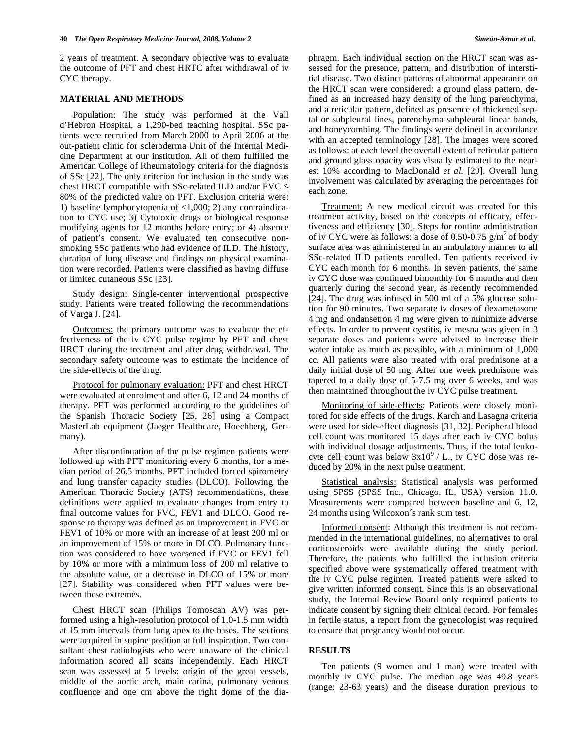2 years of treatment. A secondary objective was to evaluate the outcome of PFT and chest HRTC after withdrawal of iv CYC therapy.

#### **MATERIAL AND METHODS**

 Population: The study was performed at the Vall d'Hebron Hospital, a 1,290-bed teaching hospital. SSc patients were recruited from March 2000 to April 2006 at the out-patient clinic for scleroderma Unit of the Internal Medicine Department at our institution. All of them fulfilled the American College of Rheumatology criteria for the diagnosis of SSc [22]. The only criterion for inclusion in the study was chest HRCT compatible with SSc-related ILD and/or FVC  $\leq$ 80% of the predicted value on PFT. Exclusion criteria were: 1) baseline lymphocytopenia of <1,000; 2) any contraindication to CYC use; 3) Cytotoxic drugs or biological response modifying agents for 12 months before entry; or 4) absence of patient's consent. We evaluated ten consecutive nonsmoking SSc patients who had evidence of ILD. The history, duration of lung disease and findings on physical examination were recorded. Patients were classified as having diffuse or limited cutaneous SSc [23].

 Study design: Single-center interventional prospective study. Patients were treated following the recommendations of Varga J. [24].

 Outcomes: the primary outcome was to evaluate the effectiveness of the iv CYC pulse regime by PFT and chest HRCT during the treatment and after drug withdrawal. The secondary safety outcome was to estimate the incidence of the side-effects of the drug.

 Protocol for pulmonary evaluation: PFT and chest HRCT were evaluated at enrolment and after 6, 12 and 24 months of therapy. PFT was performed according to the guidelines of the Spanish Thoracic Society [25, 26] using a Compact MasterLab equipment (Jaeger Healthcare, Hoechberg, Germany).

 After discontinuation of the pulse regimen patients were followed up with PFT monitoring every 6 months, for a median period of 26.5 months. PFT included forced spirometry and lung transfer capacity studies (DLCO). Following the American Thoracic Society (ATS) recommendations, these definitions were applied to evaluate changes from entry to final outcome values for FVC, FEV1 and DLCO. Good response to therapy was defined as an improvement in FVC or FEV1 of 10% or more with an increase of at least 200 ml or an improvement of 15% or more in DLCO. Pulmonary function was considered to have worsened if FVC or FEV1 fell by 10% or more with a minimum loss of 200 ml relative to the absolute value, or a decrease in DLCO of 15% or more [27]. Stability was considered when PFT values were between these extremes.

 Chest HRCT scan (Philips Tomoscan AV) was performed using a high-resolution protocol of 1.0-1.5 mm width at 15 mm intervals from lung apex to the bases. The sections were acquired in supine position at full inspiration. Two consultant chest radiologists who were unaware of the clinical information scored all scans independently. Each HRCT scan was assessed at 5 levels: origin of the great vessels, middle of the aortic arch, main carina, pulmonary venous confluence and one cm above the right dome of the diaphragm. Each individual section on the HRCT scan was assessed for the presence, pattern, and distribution of interstitial disease. Two distinct patterns of abnormal appearance on the HRCT scan were considered: a ground glass pattern, defined as an increased hazy density of the lung parenchyma, and a reticular pattern, defined as presence of thickened septal or subpleural lines, parenchyma subpleural linear bands, and honeycombing. The findings were defined in accordance with an accepted terminology [28]. The images were scored as follows: at each level the overall extent of reticular pattern and ground glass opacity was visually estimated to the nearest 10% according to MacDonald *et al.* [29]. Overall lung involvement was calculated by averaging the percentages for each zone.

 Treatment: A new medical circuit was created for this treatment activity, based on the concepts of efficacy, effectiveness and efficiency [30]. Steps for routine administration of iv CYC were as follows: a dose of 0.50-0.75  $g/m^2$  of body surface area was administered in an ambulatory manner to all SSc-related ILD patients enrolled. Ten patients received iv CYC each month for 6 months. In seven patients, the same iv CYC dose was continued bimonthly for 6 months and then quarterly during the second year, as recently recommended [24]. The drug was infused in 500 ml of a 5% glucose solution for 90 minutes. Two separate iv doses of dexametasone 4 mg and ondansetron 4 mg were given to minimize adverse effects. In order to prevent cystitis, iv mesna was given in 3 separate doses and patients were advised to increase their water intake as much as possible, with a minimum of 1,000 cc. All patients were also treated with oral prednisone at a daily initial dose of 50 mg. After one week prednisone was tapered to a daily dose of 5-7.5 mg over 6 weeks, and was then maintained throughout the iv CYC pulse treatment.

 Monitoring of side-effects: Patients were closely monitored for side effects of the drugs. Karch and Lasagna criteria were used for side-effect diagnosis [31, 32]. Peripheral blood cell count was monitored 15 days after each iv CYC bolus with individual dosage adjustments. Thus, if the total leukocyte cell count was below  $3x10^9$  / L., iv CYC dose was reduced by 20% in the next pulse treatment.

 Statistical analysis: Statistical analysis was performed using SPSS (SPSS Inc., Chicago, IL, USA) version 11.0. Measurements were compared between baseline and 6, 12, 24 months using Wilcoxon´s rank sum test.

 Informed consent: Although this treatment is not recommended in the international guidelines, no alternatives to oral corticosteroids were available during the study period. Therefore, the patients who fulfilled the inclusion criteria specified above were systematically offered treatment with the iv CYC pulse regimen. Treated patients were asked to give written informed consent. Since this is an observational study, the Internal Review Board only required patients to indicate consent by signing their clinical record. For females in fertile status, a report from the gynecologist was required to ensure that pregnancy would not occur.

### **RESULTS**

 Ten patients (9 women and 1 man) were treated with monthly iv CYC pulse. The median age was 49.8 years (range: 23-63 years) and the disease duration previous to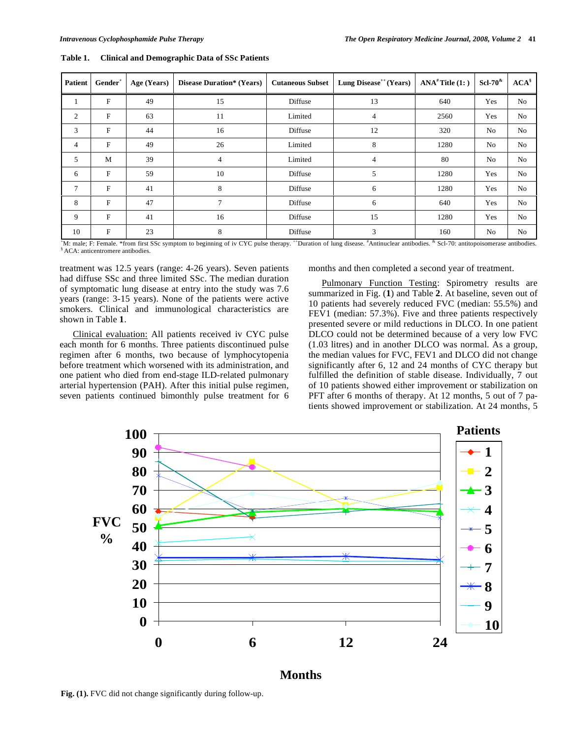| <b>Patient</b> | Gender <sup>+</sup> | Age (Years) | <b>Disease Duration*</b> (Years) | <b>Cutaneous Subset</b>                | Lung Disease <sup><math>++</math></sup> (Years) | $ANA#$ Title $(1: )$              | $ScI-708$ | $ACA^s$        |
|----------------|---------------------|-------------|----------------------------------|----------------------------------------|-------------------------------------------------|-----------------------------------|-----------|----------------|
|                | $\mathbf F$         | 49          | 15                               | Diffuse                                | 13                                              | 640                               | Yes       | N <sub>0</sub> |
| 2              | F                   | 63          | 11                               | Limited                                | 4                                               | 2560                              | Yes       | No             |
| 3              | F                   | 44          | 16                               | Diffuse                                | 12                                              | 320                               | No        | N <sub>0</sub> |
| 4              | F                   | 49          | 26                               | Limited                                | 8                                               | 1280                              | No        | No             |
| 5              | M                   | 39          | $\overline{4}$                   | Limited                                | 4                                               | 80                                | No        | N <sub>0</sub> |
| 6              | $\mathbf F$         | 59          | 10                               | Diffuse                                | 5                                               | 1280                              | Yes       | N <sub>0</sub> |
| 7              | F                   | 41          | 8                                | Diffuse                                | 6                                               | 1280                              | Yes       | No             |
| 8              | F                   | 47          | 7                                | Diffuse                                | 6                                               | 640                               | Yes       | N <sub>0</sub> |
| 9              | F                   | 41          | 16                               | Diffuse                                | 15                                              | 1280                              | Yes       | No             |
| 10             | F                   | 23          | 8                                | Diffuse<br>And stores<br>$\sim$ $\sim$ | 3<br>.<br>$\cdot$                               | 160<br>$\cdots$ $\cdots$ $\cdots$ | No        | No             |

**Table 1. Clinical and Demographic Data of SSc Patients** 

<sup>\*</sup>M: male; F: Female. \*from first SSc symptom to beginning of iv CYC pulse therapy. \*\*Duration of lung disease. <sup>#</sup>Antinuclear antibodies. \* Scl-70: antitopoisomerase antibodies. \* Antinuclear antibodies.

treatment was 12.5 years (range: 4-26 years). Seven patients had diffuse SSc and three limited SSc. The median duration of symptomatic lung disease at entry into the study was 7.6 years (range: 3-15 years). None of the patients were active smokers. Clinical and immunological characteristics are shown in Table **1**.

 Clinical evaluation: All patients received iv CYC pulse each month for 6 months. Three patients discontinued pulse regimen after 6 months, two because of lymphocytopenia before treatment which worsened with its administration, and one patient who died from end-stage ILD-related pulmonary arterial hypertension (PAH). After this initial pulse regimen, seven patients continued bimonthly pulse treatment for 6 months and then completed a second year of treatment.

Pulmonary Function Testing: Spirometry results are summarized in Fig. (**1**) and Table **2**. At baseline, seven out of 10 patients had severely reduced FVC (median: 55.5%) and FEV1 (median: 57.3%). Five and three patients respectively presented severe or mild reductions in DLCO. In one patient DLCO could not be determined because of a very low FVC (1.03 litres) and in another DLCO was normal. As a group, the median values for FVC, FEV1 and DLCO did not change significantly after 6, 12 and 24 months of CYC therapy but fulfilled the definition of stable disease. Individually, 7 out of 10 patients showed either improvement or stabilization on PFT after 6 months of therapy. At 12 months, 5 out of 7 patients showed improvement or stabilization. At 24 months, 5



## **Months**

**Fig. (1).** FVC did not change significantly during follow-up.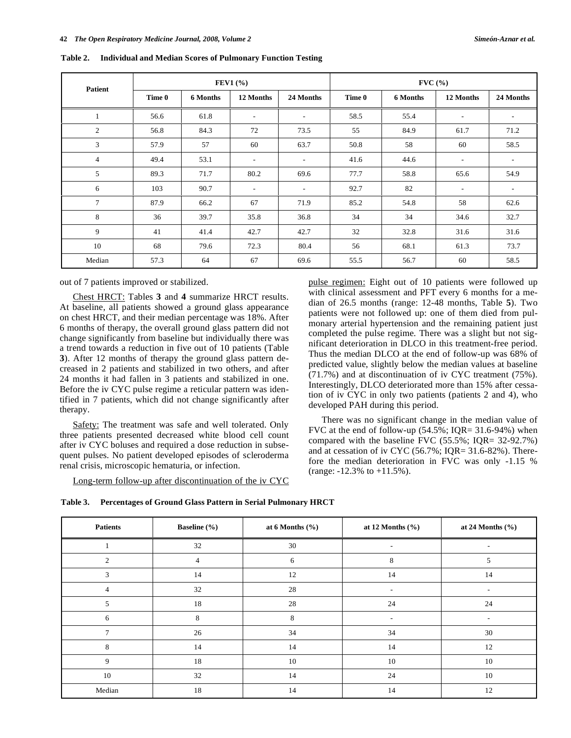|                 | <b>FEV1</b> $(\% )$ |          |                          | $\text{FVC}$ (%)         |        |          |                          |                          |
|-----------------|---------------------|----------|--------------------------|--------------------------|--------|----------|--------------------------|--------------------------|
| <b>Patient</b>  | Time 0              | 6 Months | 12 Months                | 24 Months                | Time 0 | 6 Months | 12 Months                | 24 Months                |
| $\mathbf{1}$    | 56.6                | 61.8     | $\sim$                   | $\overline{\phantom{a}}$ | 58.5   | 55.4     | $\overline{\phantom{a}}$ | $\overline{\phantom{a}}$ |
| 2               | 56.8                | 84.3     | 72                       | 73.5                     | 55     | 84.9     | 61.7                     | 71.2                     |
| 3               | 57.9                | 57       | 60                       | 63.7                     | 50.8   | 58       | 60                       | 58.5                     |
| $\overline{4}$  | 49.4                | 53.1     | $\overline{\phantom{a}}$ | $\overline{\phantom{a}}$ | 41.6   | 44.6     | $\overline{\phantom{a}}$ | $\overline{\phantom{a}}$ |
| 5               | 89.3                | 71.7     | 80.2                     | 69.6                     | 77.7   | 58.8     | 65.6                     | 54.9                     |
| 6               | 103                 | 90.7     | $\sim$                   | $\overline{\phantom{a}}$ | 92.7   | 82       | $\overline{\phantom{a}}$ | $\overline{\phantom{a}}$ |
| $7\phantom{.0}$ | 87.9                | 66.2     | 67                       | 71.9                     | 85.2   | 54.8     | 58                       | 62.6                     |
| 8               | 36                  | 39.7     | 35.8                     | 36.8                     | 34     | 34       | 34.6                     | 32.7                     |
| 9               | 41                  | 41.4     | 42.7                     | 42.7                     | 32     | 32.8     | 31.6                     | 31.6                     |
| 10              | 68                  | 79.6     | 72.3                     | 80.4                     | 56     | 68.1     | 61.3                     | 73.7                     |
| Median          | 57.3                | 64       | 67                       | 69.6                     | 55.5   | 56.7     | 60                       | 58.5                     |

**Table 2. Individual and Median Scores of Pulmonary Function Testing** 

out of 7 patients improved or stabilized.

 Chest HRCT: Tables **3** and **4** summarize HRCT results. At baseline, all patients showed a ground glass appearance on chest HRCT, and their median percentage was 18%. After 6 months of therapy, the overall ground glass pattern did not change significantly from baseline but individually there was a trend towards a reduction in five out of 10 patients (Table **3**). After 12 months of therapy the ground glass pattern decreased in 2 patients and stabilized in two others, and after 24 months it had fallen in 3 patients and stabilized in one. Before the iv CYC pulse regime a reticular pattern was identified in 7 patients, which did not change significantly after therapy.

Safety: The treatment was safe and well tolerated. Only three patients presented decreased white blood cell count after iv CYC boluses and required a dose reduction in subsequent pulses. No patient developed episodes of scleroderma renal crisis, microscopic hematuria, or infection.

Long-term follow-up after discontinuation of the iv CYC

pulse regimen: Eight out of 10 patients were followed up with clinical assessment and PFT every 6 months for a median of 26.5 months (range: 12-48 months, Table **5**). Two patients were not followed up: one of them died from pulmonary arterial hypertension and the remaining patient just completed the pulse regime. There was a slight but not significant deterioration in DLCO in this treatment-free period. Thus the median DLCO at the end of follow-up was 68% of predicted value, slightly below the median values at baseline (71.7%) and at discontinuation of iv CYC treatment (75%). Interestingly, DLCO deteriorated more than 15% after cessation of iv CYC in only two patients (patients 2 and 4), who developed PAH during this period.

 There was no significant change in the median value of FVC at the end of follow-up  $(54.5\%; IQR = 31.6-94\%)$  when compared with the baseline FVC (55.5%; IQR= 32-92.7%) and at cessation of iv CYC (56.7%; IQR= 31.6-82%). Therefore the median deterioration in FVC was only -1.15 % (range: -12.3% to +11.5%).

| Table 3. | Percentages of Ground Glass Pattern in Serial Pulmonary HRCT |  |  |  |
|----------|--------------------------------------------------------------|--|--|--|
|          |                                                              |  |  |  |

| <b>Patients</b> | <b>Baseline</b> (%) | at 6 Months $(\% )$ | at 12 Months $(\% )$     | at 24 Months $(\% )$     |
|-----------------|---------------------|---------------------|--------------------------|--------------------------|
|                 | 32                  | 30                  | $\overline{\phantom{a}}$ | $\overline{\phantom{a}}$ |
| 2               | $\overline{4}$      | 6                   | 8                        | 5                        |
| 3               | 14                  | 12                  | 14                       | 14                       |
| $\overline{4}$  | 32                  | 28                  | $\overline{\phantom{a}}$ | ۰.                       |
| 5               | 18                  | 28                  | 24                       | 24                       |
| 6               | 8                   | 8                   | $\overline{\phantom{a}}$ | $\sim$                   |
| 7               | 26                  | 34                  | 34                       | 30                       |
| 8               | 14                  | 14                  | 14                       | 12                       |
| 9               | 18                  | 10                  | 10                       | 10                       |
| 10              | 32                  | 14                  | 24                       | 10                       |
| Median          | 18                  | 14                  | 14                       | 12                       |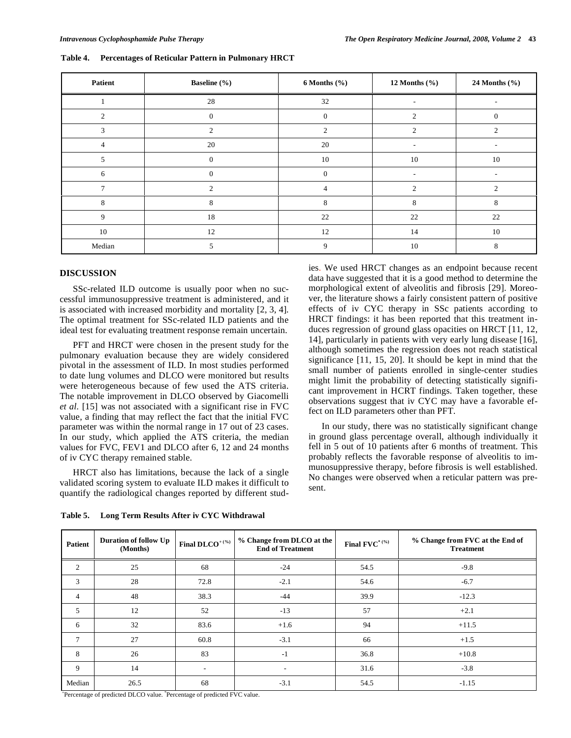| Patient        | <b>Baseline</b> (%) | $6$ Months $(\%$ | 12 Months $(\% )$           | 24 Months (%)            |
|----------------|---------------------|------------------|-----------------------------|--------------------------|
|                | 28                  | 32               |                             |                          |
| 2              | $\Omega$            | $\Omega$         | $\mathcal{D}_{\mathcal{A}}$ | O                        |
| 3              | $\mathcal{L}$       | $\overline{2}$   | 2                           | $\overline{c}$           |
| $\overline{4}$ | 20                  | 20               | $\sim$                      | $\overline{\phantom{a}}$ |
| .5             | $\mathbf{0}$        | 10               | 10                          | 10                       |
| 6              | $\mathbf{0}$        | $\mathbf{0}$     | $\sim$                      | $\overline{\phantom{a}}$ |
| $\overline{7}$ | 2                   | $\overline{4}$   | 2                           | $\mathfrak{2}$           |
| 8              | 8                   | 8                | 8                           | 8                        |
| 9              | 18                  | 22               | 22                          | 22                       |
| 10             | 12                  | 12               | 14                          | 10                       |
| Median         | 5                   | 9                | 10                          | 8                        |

**Table 4. Percentages of Reticular Pattern in Pulmonary HRCT** 

### **DISCUSSION**

 SSc-related ILD outcome is usually poor when no successful immunosuppressive treatment is administered, and it is associated with increased morbidity and mortality [2, 3, 4]. The optimal treatment for SSc-related ILD patients and the ideal test for evaluating treatment response remain uncertain.

 PFT and HRCT were chosen in the present study for the pulmonary evaluation because they are widely considered pivotal in the assessment of ILD. In most studies performed to date lung volumes and DLCO were monitored but results were heterogeneous because of few used the ATS criteria. The notable improvement in DLCO observed by Giacomelli *et al.* [15] was not associated with a significant rise in FVC value, a finding that may reflect the fact that the initial FVC parameter was within the normal range in 17 out of 23 cases. In our study, which applied the ATS criteria, the median values for FVC, FEV1 and DLCO after 6, 12 and 24 months of iv CYC therapy remained stable.

 HRCT also has limitations, because the lack of a single validated scoring system to evaluate ILD makes it difficult to quantify the radiological changes reported by different stud-

**Table 5. Long Term Results After iv CYC Withdrawal** 

ies. We used HRCT changes as an endpoint because recent data have suggested that it is a good method to determine the morphological extent of alveolitis and fibrosis [29]. Moreover, the literature shows a fairly consistent pattern of positive effects of iv CYC therapy in SSc patients according to HRCT findings: it has been reported that this treatment induces regression of ground glass opacities on HRCT [11, 12, 14], particularly in patients with very early lung disease [16], although sometimes the regression does not reach statistical significance [11, 15, 20]. It should be kept in mind that the small number of patients enrolled in single-center studies might limit the probability of detecting statistically significant improvement in HCRT findings. Taken together, these observations suggest that iv CYC may have a favorable effect on ILD parameters other than PFT.

 In our study, there was no statistically significant change in ground glass percentage overall, although individually it fell in 5 out of 10 patients after 6 months of treatment. This probably reflects the favorable response of alveolitis to immunosuppressive therapy, before fibrosis is well established. No changes were observed when a reticular pattern was present.

| Patient        | Duration of follow Up<br>(Months) | Final $DLCO^{+(%)}$      | % Change from DLCO at the<br><b>End of Treatment</b> | Final $\text{FVC}^{*(\%)}$ | % Change from FVC at the End of<br><b>Treatment</b> |
|----------------|-----------------------------------|--------------------------|------------------------------------------------------|----------------------------|-----------------------------------------------------|
| 2              | 25                                | 68                       | $-24$                                                | 54.5                       | $-9.8$                                              |
| 3              | 28                                | 72.8                     | $-2.1$                                               | 54.6                       | $-6.7$                                              |
| $\overline{4}$ | 48                                | 38.3                     | $-44$                                                | 39.9                       | $-12.3$                                             |
| 5              | 12                                | 52                       | $-13$                                                | 57                         | $+2.1$                                              |
| 6              | 32                                | 83.6                     | $+1.6$                                               | 94                         | $+11.5$                                             |
| $\tau$         | 27                                | 60.8                     | $-3.1$                                               | 66                         | $+1.5$                                              |
| 8              | 26                                | 83                       | $-1$                                                 | 36.8                       | $+10.8$                                             |
| 9              | 14                                | $\overline{\phantom{a}}$ | $\overline{\phantom{a}}$                             | 31.6                       | $-3.8$                                              |
| Median         | 26.5                              | 68                       | $-3.1$                                               | 54.5                       | $-1.15$                                             |

+Percentage of predicted DLCO value. \* Percentage of predicted FVC value.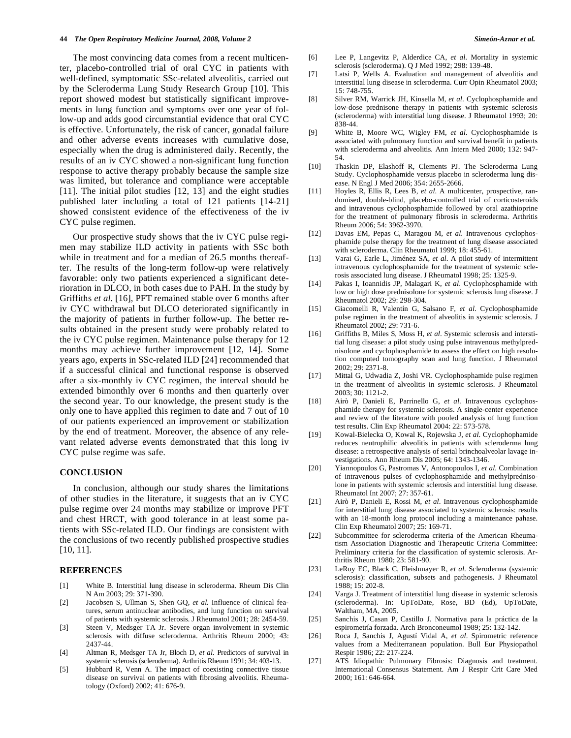The most convincing data comes from a recent multicenter, placebo-controlled trial of oral CYC in patients with well-defined, symptomatic SSc-related alveolitis, carried out by the Scleroderma Lung Study Research Group [10]. This report showed modest but statistically significant improvements in lung function and symptoms over one year of follow-up and adds good circumstantial evidence that oral CYC is effective. Unfortunately, the risk of cancer, gonadal failure and other adverse events increases with cumulative dose, especially when the drug is administered daily. Recently, the results of an iv CYC showed a non-significant lung function response to active therapy probably because the sample size was limited, but tolerance and compliance were acceptable [11]. The initial pilot studies [12, 13] and the eight studies published later including a total of 121 patients [14-21] showed consistent evidence of the effectiveness of the iv CYC pulse regimen.

 Our prospective study shows that the iv CYC pulse regimen may stabilize ILD activity in patients with SSc both while in treatment and for a median of 26.5 months thereafter. The results of the long-term follow-up were relatively favorable: only two patients experienced a significant deterioration in DLCO, in both cases due to PAH. In the study by Griffiths *et al.* [16], PFT remained stable over 6 months after iv CYC withdrawal but DLCO deteriorated significantly in the majority of patients in further follow-up. The better results obtained in the present study were probably related to the iv CYC pulse regimen. Maintenance pulse therapy for 12 months may achieve further improvement [12, 14]. Some years ago, experts in SSc-related ILD [24] recommended that if a successful clinical and functional response is observed after a six-monthly iv CYC regimen, the interval should be extended bimonthly over 6 months and then quarterly over the second year. To our knowledge, the present study is the only one to have applied this regimen to date and 7 out of 10 of our patients experienced an improvement or stabilization by the end of treatment. Moreover, the absence of any relevant related adverse events demonstrated that this long iv CYC pulse regime was safe.

#### **CONCLUSION**

 In conclusion, although our study shares the limitations of other studies in the literature, it suggests that an iv CYC pulse regime over 24 months may stabilize or improve PFT and chest HRCT, with good tolerance in at least some patients with SSc-related ILD. Our findings are consistent with the conclusions of two recently published prospective studies [10, 11].

#### **REFERENCES**

- [1] White B. Interstitial lung disease in scleroderma. Rheum Dis Clin N Am 2003; 29: 371-390.
- [2] Jacobsen S, Ullman S, Shen GQ, *et al.* Influence of clinical features, serum antinuclear antibodies, and lung function on survival of patients with systemic sclerosis. J Rheumatol 2001; 28: 2454-59.
- [3] Steen V, Medsger TA Jr. Severe organ involvement in systemic sclerosis with diffuse scleroderma. Arthritis Rheum 2000; 43: 2437-44.
- [4] Altman R, Medsger TA Jr, Bloch D, *et al.* Predictors of survival in systemic sclerosis (scleroderma). Arthritis Rheum 1991; 34: 403-13.
- [5] Hubbard R, Venn A. The impact of coexisting connective tissue disease on survival on patients with fibrosing alveolitis. Rheumatology (Oxford) 2002; 41: 676-9.
- [6] Lee P, Langevitz P, Alderdice CA, *et al*. Mortality in systemic sclerosis (scleroderma). Q J Med 1992; 298: 139-48.
- [7] Latsi P, Wells A. Evaluation and management of alveolitis and interstitial lung disease in scleroderma. Curr Opin Rheumatol 2003; 15: 748-755.
- [8] Silver RM, Warrick JH, Kinsella M, *et al*. Cyclophosphamide and low-dose prednisone therapy in patients with systemic sclerosis (scleroderma) with interstitial lung disease. J Rheumatol 1993; 20: 838-44.
- [9] White B, Moore WC, Wigley FM, *et al*. Cyclophosphamide is associated with pulmonary function and survival benefit in patients with scleroderma and alveolitis. Ann Intern Med 2000; 132: 947- 54.
- [10] Thaskin DP, Elashoff R, Clements PJ. The Scleroderma Lung Study. Cyclophosphamide versus placebo in scleroderma lung disease. N Engl J Med 2006; 354: 2655-2666.
- [11] Hoyles R, Ellis R, Lees B, *et al*. A multicenter, prospective, randomised, double-blind, placebo-controlled trial of corticosteroids and intravenous cyclophosphamide followed by oral azathioprine for the treatment of pulmonary fibrosis in scleroderma. Arthritis Rheum 2006; 54: 3962-3970.
- [12] Davas EM, Pepas C, Maragou M, *et al*. Intravenous cyclophosphamide pulse therapy for the treatment of lung disease associated with scleroderma. Clin Rheumatol 1999; 18: 455-61.
- [13] Varai G, Earle L, Jiménez SA, *et al*. A pilot study of intermittent intravenous cyclophosphamide for the treatment of systemic sclerosis associated lung disease. J Rheumatol 1998; 25: 1325-9.
- [14] Pakas I, Ioannidis JP, Malagari K, *et al*. Cyclophosphamide with low or high dose prednisolone for systemic sclerosis lung disease. J Rheumatol 2002; 29: 298-304.
- [15] Giacomelli R, Valentín G, Salsano F, *et al*. Cyclophosphamide pulse regimen in the treatment of alveolitis in systemic sclerosis. J Rheumatol 2002; 29: 731-6.
- [16] Griffiths B, Miles S, Moss H, *et al*. Systemic sclerosis and interstitial lung disease: a pilot study using pulse intravenous methylprednisolone and cyclophosphamide to assess the effect on high resolution computed tomography scan and lung function. J Rheumatol 2002; 29: 2371-8.
- [17] Mittal G, Udwadia Z, Joshi VR. Cyclophosphamide pulse regimen in the treatment of alveolitis in systemic sclerosis. J Rheumatol 2003; 30: 1121-2.
- [18] Airò P, Danieli E, Parrinello G, *et al*. Intravenous cyclophosphamide therapy for systemic sclerosis. A single-center experience and review of the literature with pooled analysis of lung function test results. Clin Exp Rheumatol 2004: 22: 573-578.
- [19] Kowal-Bielecka O, Kowal K, Rojewska J, *et al*. Cyclophophamide reduces neutrophilic alveolitis in patients with scleroderma lung disease: a retrospective analysis of serial brinchoalveolar lavage investigations. Ann Rheum Dis 2005; 64: 1343-1346.
- [20] Yiannopoulos G, Pastromas V, Antonopoulos I, *et al*. Combination of intravenous pulses of cyclophosphamide and methylprednisolone in patients with systemic sclerosis and interstitial lung disease. Rheumatol Int 2007; 27: 357-61.
- [21] Airò P, Danieli E, Rossi M, *et al*. Intravenous cyclophosphamide for interstitial lung disease associated to systemic sclerosis: results with an 18-month long protocol including a maintenance pahase. Clin Exp Rheumatol 2007; 25: 169-71.
- [22] Subcommittee for scleroderma criteria of the American Rheumatism Association Diagnostic and Therapeutic Criteria Committee: Preliminary criteria for the classification of systemic sclerosis. Arthritis Rheum 1980; 23: 581-90.
- [23] LeRoy EC, Black C, Fleishmayer R, *et al*. Scleroderma (systemic sclerosis): classification, subsets and pathogenesis. J Rheumatol 1988; 15: 202-8.
- [24] Varga J. Treatment of interstitial lung disease in systemic sclerosis (scleroderma). In: UpToDate, Rose, BD (Ed), UpToDate, Waltham, MA, 2005.
- [25] Sanchis J, Casan P, Castillo J. Normativa para la práctica de la espirometría forzada. Arch Bronconeumol 1989; 25: 132-142.
- [26] Roca J, Sanchis J, Agustí Vidal A, *et al*. Spirometric reference values from a Mediterranean population. Bull Eur Physiopathol Respir 1986; 22: 217-224.
- [27] ATS Idiopathic Pulmonary Fibrosis: Diagnosis and treatment. International Consensus Statement. Am J Respir Crit Care Med 2000; 161: 646-664.